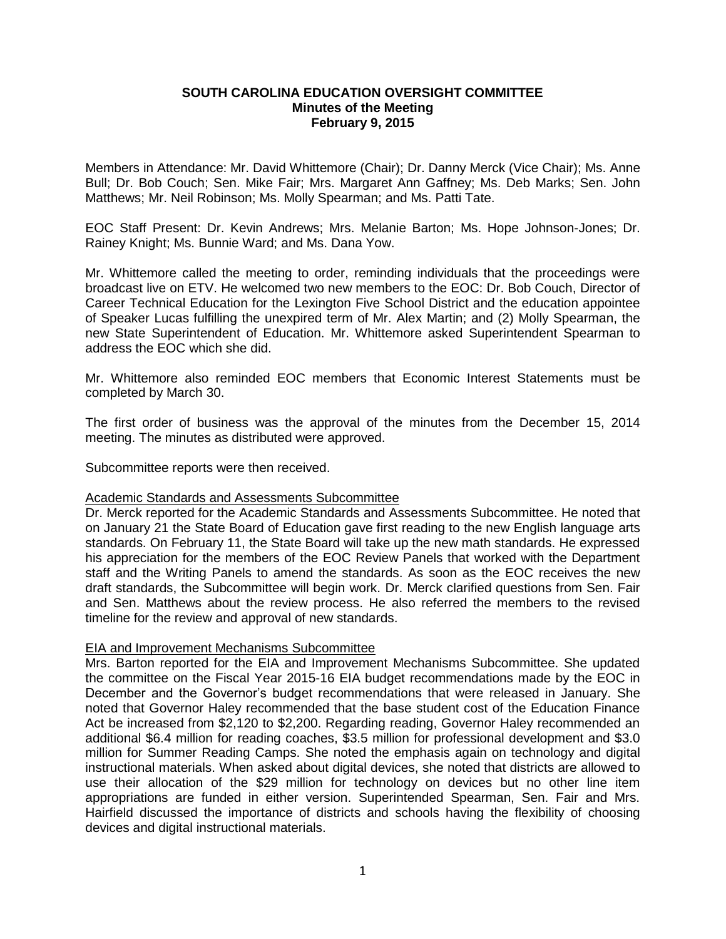## **SOUTH CAROLINA EDUCATION OVERSIGHT COMMITTEE Minutes of the Meeting February 9, 2015**

Members in Attendance: Mr. David Whittemore (Chair); Dr. Danny Merck (Vice Chair); Ms. Anne Bull; Dr. Bob Couch; Sen. Mike Fair; Mrs. Margaret Ann Gaffney; Ms. Deb Marks; Sen. John Matthews; Mr. Neil Robinson; Ms. Molly Spearman; and Ms. Patti Tate.

EOC Staff Present: Dr. Kevin Andrews; Mrs. Melanie Barton; Ms. Hope Johnson-Jones; Dr. Rainey Knight; Ms. Bunnie Ward; and Ms. Dana Yow.

Mr. Whittemore called the meeting to order, reminding individuals that the proceedings were broadcast live on ETV. He welcomed two new members to the EOC: Dr. Bob Couch, Director of Career Technical Education for the Lexington Five School District and the education appointee of Speaker Lucas fulfilling the unexpired term of Mr. Alex Martin; and (2) Molly Spearman, the new State Superintendent of Education. Mr. Whittemore asked Superintendent Spearman to address the EOC which she did.

Mr. Whittemore also reminded EOC members that Economic Interest Statements must be completed by March 30.

The first order of business was the approval of the minutes from the December 15, 2014 meeting. The minutes as distributed were approved.

Subcommittee reports were then received.

## Academic Standards and Assessments Subcommittee

Dr. Merck reported for the Academic Standards and Assessments Subcommittee. He noted that on January 21 the State Board of Education gave first reading to the new English language arts standards. On February 11, the State Board will take up the new math standards. He expressed his appreciation for the members of the EOC Review Panels that worked with the Department staff and the Writing Panels to amend the standards. As soon as the EOC receives the new draft standards, the Subcommittee will begin work. Dr. Merck clarified questions from Sen. Fair and Sen. Matthews about the review process. He also referred the members to the revised timeline for the review and approval of new standards.

## EIA and Improvement Mechanisms Subcommittee

Mrs. Barton reported for the EIA and Improvement Mechanisms Subcommittee. She updated the committee on the Fiscal Year 2015-16 EIA budget recommendations made by the EOC in December and the Governor's budget recommendations that were released in January. She noted that Governor Haley recommended that the base student cost of the Education Finance Act be increased from \$2,120 to \$2,200. Regarding reading, Governor Haley recommended an additional \$6.4 million for reading coaches, \$3.5 million for professional development and \$3.0 million for Summer Reading Camps. She noted the emphasis again on technology and digital instructional materials. When asked about digital devices, she noted that districts are allowed to use their allocation of the \$29 million for technology on devices but no other line item appropriations are funded in either version. Superintended Spearman, Sen. Fair and Mrs. Hairfield discussed the importance of districts and schools having the flexibility of choosing devices and digital instructional materials.